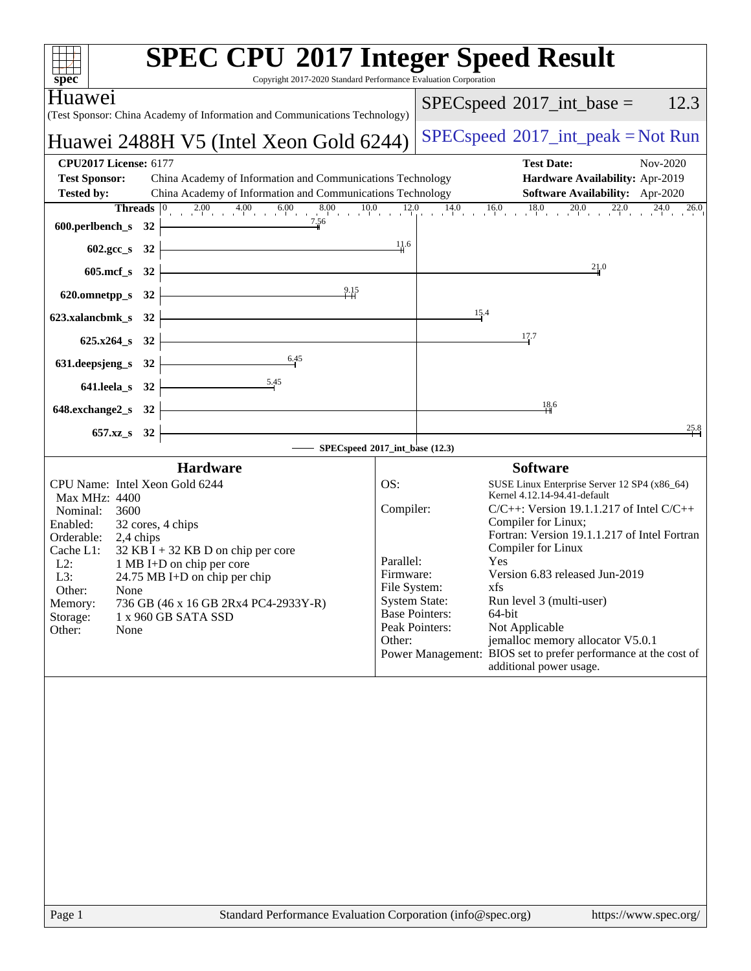| spec <sup>®</sup>                                                                                                                                                                                                                                                                                                                                                                                             | <b>SPEC CPU®2017 Integer Speed Result</b><br>Copyright 2017-2020 Standard Performance Evaluation Corporation                                                                                                                                                                                                                                                                                                                                                                                                                                                                                                                              |
|---------------------------------------------------------------------------------------------------------------------------------------------------------------------------------------------------------------------------------------------------------------------------------------------------------------------------------------------------------------------------------------------------------------|-------------------------------------------------------------------------------------------------------------------------------------------------------------------------------------------------------------------------------------------------------------------------------------------------------------------------------------------------------------------------------------------------------------------------------------------------------------------------------------------------------------------------------------------------------------------------------------------------------------------------------------------|
| Huawe <sub>1</sub><br>(Test Sponsor: China Academy of Information and Communications Technology)                                                                                                                                                                                                                                                                                                              | 12.3<br>$SPEC speed^{\circ}2017\_int\_base =$                                                                                                                                                                                                                                                                                                                                                                                                                                                                                                                                                                                             |
| Huawei 2488H V5 (Intel Xeon Gold 6244)                                                                                                                                                                                                                                                                                                                                                                        | $SPEC speed^{\circ}2017\_int\_peak = Not Run$                                                                                                                                                                                                                                                                                                                                                                                                                                                                                                                                                                                             |
| <b>CPU2017 License: 6177</b><br><b>Test Sponsor:</b><br>China Academy of Information and Communications Technology<br>China Academy of Information and Communications Technology<br><b>Tested by:</b><br>600.perlbench_s 32 $\overbrace{\qquad \qquad }^{7.56}$                                                                                                                                               | <b>Test Date:</b><br>Nov-2020<br>Hardware Availability: Apr-2019<br><b>Software Availability:</b> Apr-2020<br><b>Threads</b> $\begin{bmatrix} 0 & 2.00 & 4.00 & 6.00 & 8.00 & 10.0 & 12.0 & 14.0 & 16.0 & 18.0 & 20.0 & 22.0 & 24.0 & 24.0 & 20.0 & 24.0 & 20.0 & 24.0 & 24.0 & 20.0 & 24.0 & 20.0 & 24.0 & 20.0 & 24.0 & 20.0 & 24.0 & 20.0 & 24.0 & 20.0 & 24.0 & 20.0 & 24.0 & 20.0 & 24$<br>26.0                                                                                                                                                                                                                                      |
| 602.gcc_s 32 $\frac{11.6}{11.6}$                                                                                                                                                                                                                                                                                                                                                                              |                                                                                                                                                                                                                                                                                                                                                                                                                                                                                                                                                                                                                                           |
| $605 \text{.mcf}\,$ $32$ $\overline{\phantom{a}}$                                                                                                                                                                                                                                                                                                                                                             | 21.0                                                                                                                                                                                                                                                                                                                                                                                                                                                                                                                                                                                                                                      |
| 620.omnetpp_s 32 $\overline{)$ 9.15                                                                                                                                                                                                                                                                                                                                                                           |                                                                                                                                                                                                                                                                                                                                                                                                                                                                                                                                                                                                                                           |
|                                                                                                                                                                                                                                                                                                                                                                                                               | 15.4                                                                                                                                                                                                                                                                                                                                                                                                                                                                                                                                                                                                                                      |
|                                                                                                                                                                                                                                                                                                                                                                                                               | 17.7                                                                                                                                                                                                                                                                                                                                                                                                                                                                                                                                                                                                                                      |
| 631. deepsjeng_s 32 $\frac{6.45}{1}$                                                                                                                                                                                                                                                                                                                                                                          |                                                                                                                                                                                                                                                                                                                                                                                                                                                                                                                                                                                                                                           |
| 641.leela_s 32 $\frac{5.45}{1}$<br>$648$ .exchange2_s $32$ $\overline{\phantom{a}}$                                                                                                                                                                                                                                                                                                                           | 18.6                                                                                                                                                                                                                                                                                                                                                                                                                                                                                                                                                                                                                                      |
|                                                                                                                                                                                                                                                                                                                                                                                                               | 25.8                                                                                                                                                                                                                                                                                                                                                                                                                                                                                                                                                                                                                                      |
| $657.xz$ <sub>8</sub> 32                                                                                                                                                                                                                                                                                                                                                                                      | SPECspeed®2017_int_base (12.3)                                                                                                                                                                                                                                                                                                                                                                                                                                                                                                                                                                                                            |
| <b>Hardware</b><br>CPU Name: Intel Xeon Gold 6244<br>Max MHz: 4400<br>Nominal:<br>3600<br>Enabled:<br>32 cores, 4 chips<br>Orderable: 2,4 chips<br>Cache L1:<br>$32$ KB I + 32 KB D on chip per core<br>$L2$ :<br>1 MB I+D on chip per core<br>L3:<br>24.75 MB I+D on chip per chip<br>Other:<br>None<br>736 GB (46 x 16 GB 2Rx4 PC4-2933Y-R)<br>Memory:<br>Storage:<br>1 x 960 GB SATA SSD<br>Other:<br>None | <b>Software</b><br>SUSE Linux Enterprise Server 12 SP4 (x86_64)<br>OS:<br>Kernel 4.12.14-94.41-default<br>Compiler:<br>$C/C++$ : Version 19.1.1.217 of Intel $C/C++$<br>Compiler for Linux;<br>Fortran: Version 19.1.1.217 of Intel Fortran<br>Compiler for Linux<br>Parallel:<br><b>Yes</b><br>Version 6.83 released Jun-2019<br>Firmware:<br>File System:<br>xfs<br><b>System State:</b><br>Run level 3 (multi-user)<br><b>Base Pointers:</b><br>64-bit<br>Peak Pointers:<br>Not Applicable<br>jemalloc memory allocator V5.0.1<br>Other:<br>Power Management: BIOS set to prefer performance at the cost of<br>additional power usage. |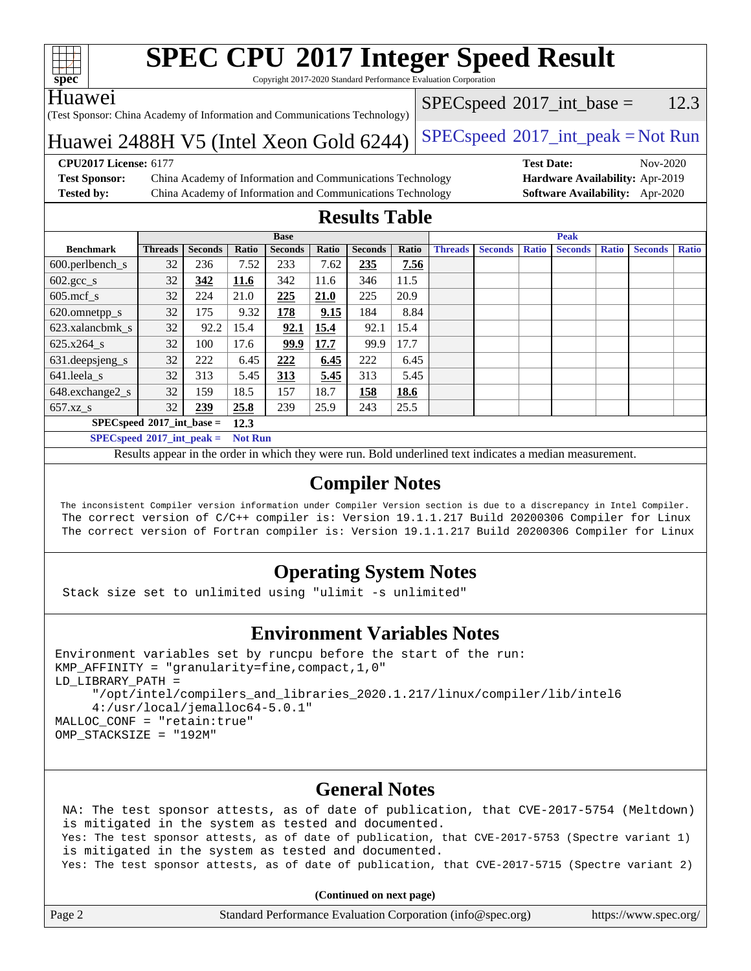

Copyright 2017-2020 Standard Performance Evaluation Corporation

#### Huawei

(Test Sponsor: China Academy of Information and Communications Technology)

 $SPECspeed^{\circ}2017\_int\_base = 12.3$  $SPECspeed^{\circ}2017\_int\_base = 12.3$ 

### Huawei 2488H V5 (Intel Xeon Gold  $6244$ ) [SPECspeed](http://www.spec.org/auto/cpu2017/Docs/result-fields.html#SPECspeed2017intpeak)<sup>®</sup>[2017\\_int\\_peak = N](http://www.spec.org/auto/cpu2017/Docs/result-fields.html#SPECspeed2017intpeak)ot Run

**[Test Sponsor:](http://www.spec.org/auto/cpu2017/Docs/result-fields.html#TestSponsor)** China Academy of Information and Communications Technology **[Hardware Availability:](http://www.spec.org/auto/cpu2017/Docs/result-fields.html#HardwareAvailability)** Apr-2019 **[Tested by:](http://www.spec.org/auto/cpu2017/Docs/result-fields.html#Testedby)** China Academy of Information and Communications Technology **[Software Availability:](http://www.spec.org/auto/cpu2017/Docs/result-fields.html#SoftwareAvailability)** Apr-2020

**[CPU2017 License:](http://www.spec.org/auto/cpu2017/Docs/result-fields.html#CPU2017License)** 6177 **[Test Date:](http://www.spec.org/auto/cpu2017/Docs/result-fields.html#TestDate)** Nov-2020

### **[Results Table](http://www.spec.org/auto/cpu2017/Docs/result-fields.html#ResultsTable)**

|                               | <b>Base</b>    |                |       |                |       |                | <b>Peak</b> |                |                |              |                |              |                |              |
|-------------------------------|----------------|----------------|-------|----------------|-------|----------------|-------------|----------------|----------------|--------------|----------------|--------------|----------------|--------------|
| <b>Benchmark</b>              | <b>Threads</b> | <b>Seconds</b> | Ratio | <b>Seconds</b> | Ratio | <b>Seconds</b> | Ratio       | <b>Threads</b> | <b>Seconds</b> | <b>Ratio</b> | <b>Seconds</b> | <b>Ratio</b> | <b>Seconds</b> | <b>Ratio</b> |
| $600.$ perlbench $\mathsf{S}$ | 32             | 236            | 7.52  | 233            | 7.62  | 235            | 7.56        |                |                |              |                |              |                |              |
| $602.\text{sec}\_\text{s}$    | 32             | 342            | 11.6  | 342            | 11.6  | 346            | 11.5        |                |                |              |                |              |                |              |
| $605$ .mcf s                  | 32             | 224            | 21.0  | 225            | 21.0  | 225            | 20.9        |                |                |              |                |              |                |              |
| 620.omnetpp_s                 | 32             | 175            | 9.32  | <u>178</u>     | 9.15  | 184            | 8.84        |                |                |              |                |              |                |              |
| 623.xalancbmk s               | 32             | 92.2           | 15.4  | 92.1           | 15.4  | 92.1           | 15.4        |                |                |              |                |              |                |              |
| $625.x264$ s                  | 32             | 100            | 17.6  | 99.9           | 17.7  | 99.9           | 17.7        |                |                |              |                |              |                |              |
| 631.deepsjeng_s               | 32             | 222            | 6.45  | 222            | 6.45  | 222            | 6.45        |                |                |              |                |              |                |              |
| 641.leela s                   | 32             | 313            | 5.45  | <b>313</b>     | 5.45  | 313            | 5.45        |                |                |              |                |              |                |              |
| 648.exchange2_s               | 32             | 159            | 18.5  | 157            | 18.7  | 158            | 18.6        |                |                |              |                |              |                |              |
| $657.xz$ <sub>_S</sub>        | 32             | 239            | 25.8  | 239            | 25.9  | 243            | 25.5        |                |                |              |                |              |                |              |
| $SPECspeed*2017$ int base =   |                |                | 12.3  |                |       |                |             |                |                |              |                |              |                |              |

**[SPECspeed](http://www.spec.org/auto/cpu2017/Docs/result-fields.html#SPECspeed2017intpeak)[2017\\_int\\_peak =](http://www.spec.org/auto/cpu2017/Docs/result-fields.html#SPECspeed2017intpeak) Not Run**

Results appear in the [order in which they were run.](http://www.spec.org/auto/cpu2017/Docs/result-fields.html#RunOrder) Bold underlined text [indicates a median measurement.](http://www.spec.org/auto/cpu2017/Docs/result-fields.html#Median)

#### **[Compiler Notes](http://www.spec.org/auto/cpu2017/Docs/result-fields.html#CompilerNotes)**

 The inconsistent Compiler version information under Compiler Version section is due to a discrepancy in Intel Compiler. The correct version of C/C++ compiler is: Version 19.1.1.217 Build 20200306 Compiler for Linux The correct version of Fortran compiler is: Version 19.1.1.217 Build 20200306 Compiler for Linux

#### **[Operating System Notes](http://www.spec.org/auto/cpu2017/Docs/result-fields.html#OperatingSystemNotes)**

Stack size set to unlimited using "ulimit -s unlimited"

#### **[Environment Variables Notes](http://www.spec.org/auto/cpu2017/Docs/result-fields.html#EnvironmentVariablesNotes)**

```
Environment variables set by runcpu before the start of the run:
KMP_AFFINITY = "granularity=fine,compact,1,0"
LD_LIBRARY_PATH =
      "/opt/intel/compilers_and_libraries_2020.1.217/linux/compiler/lib/intel6
      4:/usr/local/jemalloc64-5.0.1"
MALLOC_CONF = "retain:true"
OMP_STACKSIZE = "192M"
```
#### **[General Notes](http://www.spec.org/auto/cpu2017/Docs/result-fields.html#GeneralNotes)**

 NA: The test sponsor attests, as of date of publication, that CVE-2017-5754 (Meltdown) is mitigated in the system as tested and documented. Yes: The test sponsor attests, as of date of publication, that CVE-2017-5753 (Spectre variant 1) is mitigated in the system as tested and documented. Yes: The test sponsor attests, as of date of publication, that CVE-2017-5715 (Spectre variant 2)

**(Continued on next page)**

| Page 2 | Standard Performance Evaluation Corporation (info@spec.org) | https://www.spec.org/ |
|--------|-------------------------------------------------------------|-----------------------|
|        |                                                             |                       |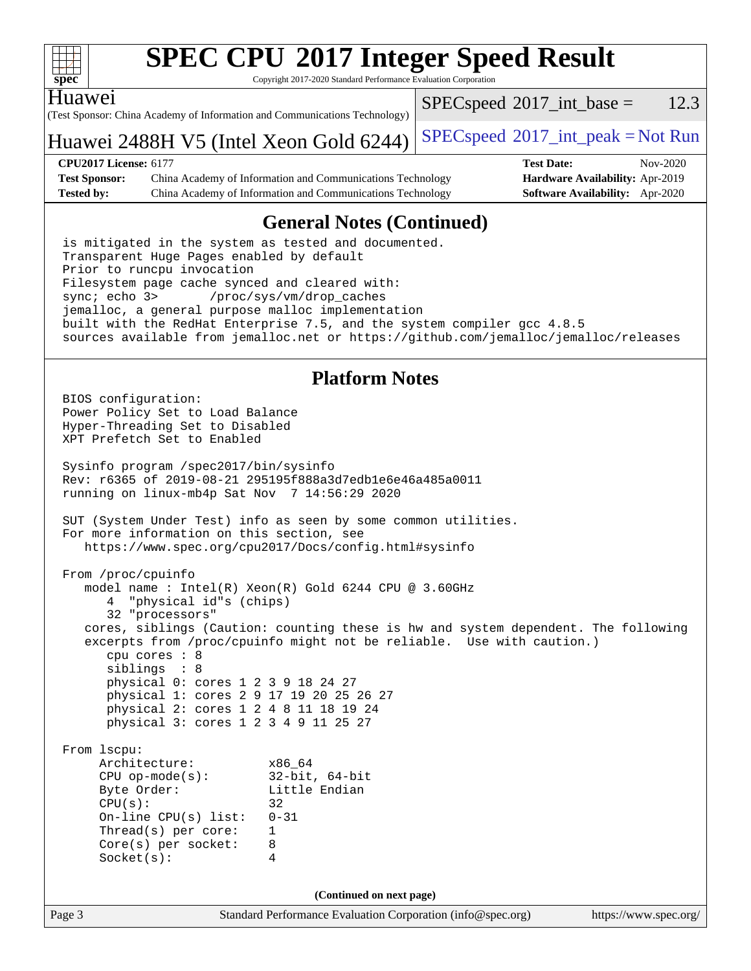

Copyright 2017-2020 Standard Performance Evaluation Corporation

Huawei

(Test Sponsor: China Academy of Information and Communications Technology)  $SPECspeed^{\circ}2017\_int\_base = 12.3$  $SPECspeed^{\circ}2017\_int\_base = 12.3$ 

#### Huawei 2488H V5 (Intel Xeon Gold  $6244$ )  $SPEC speed^{\circ}2017\_int\_peak = Not Run$

**[CPU2017 License:](http://www.spec.org/auto/cpu2017/Docs/result-fields.html#CPU2017License)** 6177 **[Test Date:](http://www.spec.org/auto/cpu2017/Docs/result-fields.html#TestDate)** Nov-2020 **[Test Sponsor:](http://www.spec.org/auto/cpu2017/Docs/result-fields.html#TestSponsor)** China Academy of Information and Communications Technology **[Hardware Availability:](http://www.spec.org/auto/cpu2017/Docs/result-fields.html#HardwareAvailability)** Apr-2019 **[Tested by:](http://www.spec.org/auto/cpu2017/Docs/result-fields.html#Testedby)** China Academy of Information and Communications Technology **[Software Availability:](http://www.spec.org/auto/cpu2017/Docs/result-fields.html#SoftwareAvailability)** Apr-2020

### **[General Notes \(Continued\)](http://www.spec.org/auto/cpu2017/Docs/result-fields.html#GeneralNotes)**

 is mitigated in the system as tested and documented. Transparent Huge Pages enabled by default Prior to runcpu invocation Filesystem page cache synced and cleared with: sync; echo 3> /proc/sys/vm/drop\_caches jemalloc, a general purpose malloc implementation built with the RedHat Enterprise 7.5, and the system compiler gcc 4.8.5 sources available from jemalloc.net or <https://github.com/jemalloc/jemalloc/releases>

#### **[Platform Notes](http://www.spec.org/auto/cpu2017/Docs/result-fields.html#PlatformNotes)**

Page 3 Standard Performance Evaluation Corporation [\(info@spec.org\)](mailto:info@spec.org) <https://www.spec.org/> BIOS configuration: Power Policy Set to Load Balance Hyper-Threading Set to Disabled XPT Prefetch Set to Enabled Sysinfo program /spec2017/bin/sysinfo Rev: r6365 of 2019-08-21 295195f888a3d7edb1e6e46a485a0011 running on linux-mb4p Sat Nov 7 14:56:29 2020 SUT (System Under Test) info as seen by some common utilities. For more information on this section, see <https://www.spec.org/cpu2017/Docs/config.html#sysinfo> From /proc/cpuinfo model name : Intel(R) Xeon(R) Gold 6244 CPU @ 3.60GHz 4 "physical id"s (chips) 32 "processors" cores, siblings (Caution: counting these is hw and system dependent. The following excerpts from /proc/cpuinfo might not be reliable. Use with caution.) cpu cores : 8 siblings : 8 physical 0: cores 1 2 3 9 18 24 27 physical 1: cores 2 9 17 19 20 25 26 27 physical 2: cores 1 2 4 8 11 18 19 24 physical 3: cores 1 2 3 4 9 11 25 27 From lscpu: Architecture: x86\_64 CPU op-mode(s): 32-bit, 64-bit Byte Order: Little Endian  $CPU(s):$  32 On-line CPU(s) list: 0-31 Thread(s) per core: 1 Core(s) per socket: 8 Socket(s): 4 **(Continued on next page)**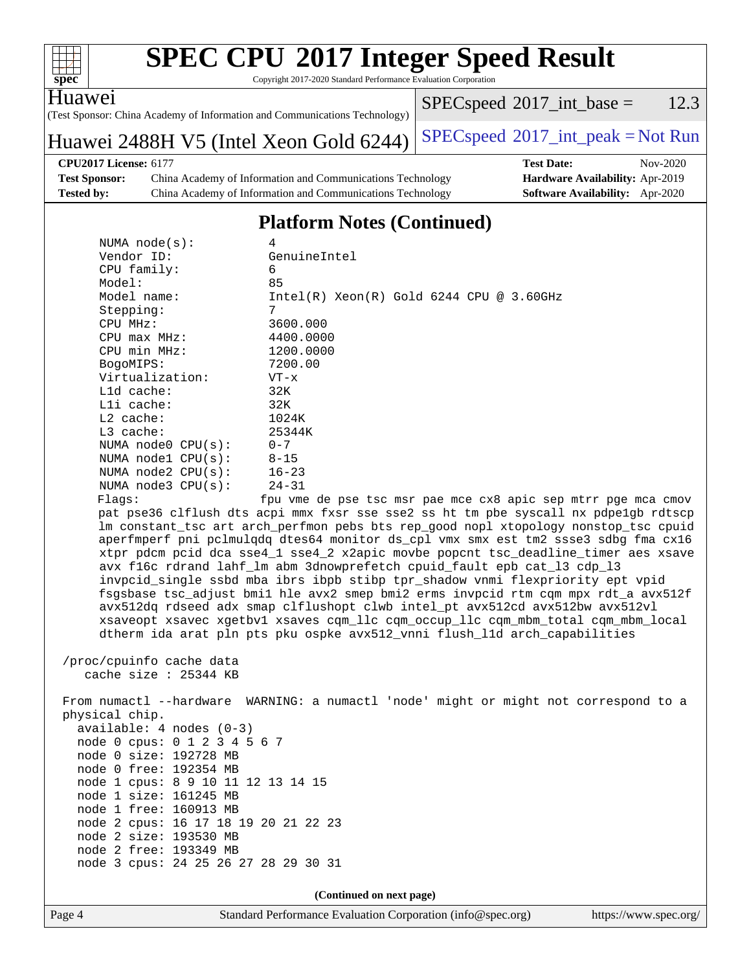| S<br>e<br>Ù |  |  |  |  |  |
|-------------|--|--|--|--|--|

Copyright 2017-2020 Standard Performance Evaluation Corporation

Huawei

(Test Sponsor: China Academy of Information and Communications Technology)

Huawei 2488H V5 (Intel Xeon Gold  $6244$ )  $SPEC speed^{\circ}2017\_int\_peak = Not Run$ 

 $SPECspeed^{\circ}2017\_int\_base = 12.3$  $SPECspeed^{\circ}2017\_int\_base = 12.3$ 

### **[CPU2017 License:](http://www.spec.org/auto/cpu2017/Docs/result-fields.html#CPU2017License)** 6177 **[Test Date:](http://www.spec.org/auto/cpu2017/Docs/result-fields.html#TestDate)** Nov-2020

**[Test Sponsor:](http://www.spec.org/auto/cpu2017/Docs/result-fields.html#TestSponsor)** China Academy of Information and Communications Technology **[Hardware Availability:](http://www.spec.org/auto/cpu2017/Docs/result-fields.html#HardwareAvailability)** Apr-2019 **[Tested by:](http://www.spec.org/auto/cpu2017/Docs/result-fields.html#Testedby)** China Academy of Information and Communications Technology **[Software Availability:](http://www.spec.org/auto/cpu2017/Docs/result-fields.html#SoftwareAvailability)** Apr-2020

#### **[Platform Notes \(Continued\)](http://www.spec.org/auto/cpu2017/Docs/result-fields.html#PlatformNotes)**

| NUMA $node(s):$                | 4                                             |
|--------------------------------|-----------------------------------------------|
| Vendor ID:                     | GenuineIntel                                  |
| $CPU$ family:                  | 6                                             |
| Model:                         | 85                                            |
| Model name:                    | $Intel(R)$ Xeon $(R)$ Gold 6244 CPU @ 3.60GHz |
| Stepping:                      | 7                                             |
| CPU MHz:                       | 3600.000                                      |
| $CPU$ max $MHz$ :              | 4400.0000                                     |
| CPU min MHz:                   | 1200.0000                                     |
| BogoMIPS:                      | 7200.00                                       |
| Virtualization:                | $VT - x$                                      |
| $L1d$ cache:                   | 32K                                           |
| $L1i$ cache:                   | 32K                                           |
| $L2$ cache:                    | 1024K                                         |
| $L3$ cache:                    | 25344K                                        |
| NUMA $node0$ $CPU(s): 0-7$     |                                               |
| NUMA nodel $CPU(s): 8-15$      |                                               |
| NUMA $node2$ $CPU(s):$ $16-23$ |                                               |
| NUMA $node3$ CPU $(s):$ 24-31  |                                               |
| Flaqs:                         | fpu vme de pse tsc msr pae mce cx8 apic sep n |
|                                |                                               |

mtrr pge mca cmov pat pse36 clflush dts acpi mmx fxsr sse sse2 ss ht tm pbe syscall nx pdpe1gb rdtscp lm constant\_tsc art arch\_perfmon pebs bts rep\_good nopl xtopology nonstop\_tsc cpuid aperfmperf pni pclmulqdq dtes64 monitor ds\_cpl vmx smx est tm2 ssse3 sdbg fma cx16 xtpr pdcm pcid dca sse4\_1 sse4\_2 x2apic movbe popcnt tsc\_deadline\_timer aes xsave avx f16c rdrand lahf\_lm abm 3dnowprefetch cpuid\_fault epb cat\_l3 cdp\_l3 invpcid\_single ssbd mba ibrs ibpb stibp tpr\_shadow vnmi flexpriority ept vpid fsgsbase tsc\_adjust bmi1 hle avx2 smep bmi2 erms invpcid rtm cqm mpx rdt\_a avx512f avx512dq rdseed adx smap clflushopt clwb intel\_pt avx512cd avx512bw avx512vl xsaveopt xsavec xgetbv1 xsaves cqm\_llc cqm\_occup\_llc cqm\_mbm\_total cqm\_mbm\_local dtherm ida arat pln pts pku ospke avx512\_vnni flush\_l1d arch\_capabilities

 /proc/cpuinfo cache data cache size : 25344 KB

 From numactl --hardware WARNING: a numactl 'node' might or might not correspond to a physical chip. available: 4 nodes (0-3) node 0 cpus: 0 1 2 3 4 5 6 7 node 0 size: 192728 MB node 0 free: 192354 MB node 1 cpus: 8 9 10 11 12 13 14 15 node 1 size: 161245 MB node 1 free: 160913 MB node 2 cpus: 16 17 18 19 20 21 22 23 node 2 size: 193530 MB node 2 free: 193349 MB node 3 cpus: 24 25 26 27 28 29 30 31

**(Continued on next page)**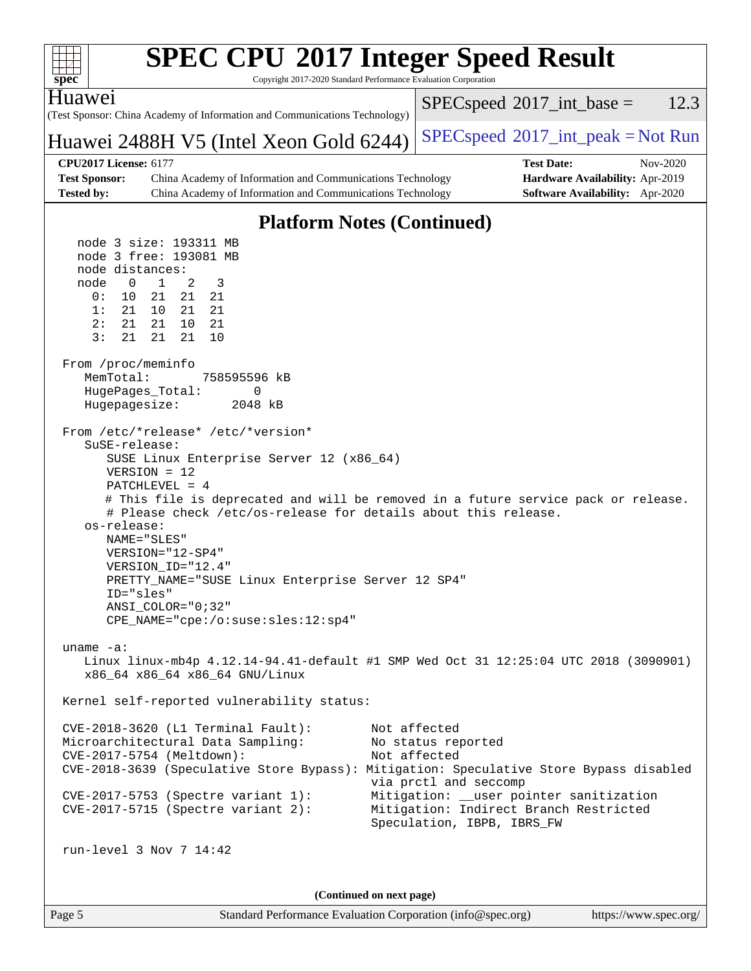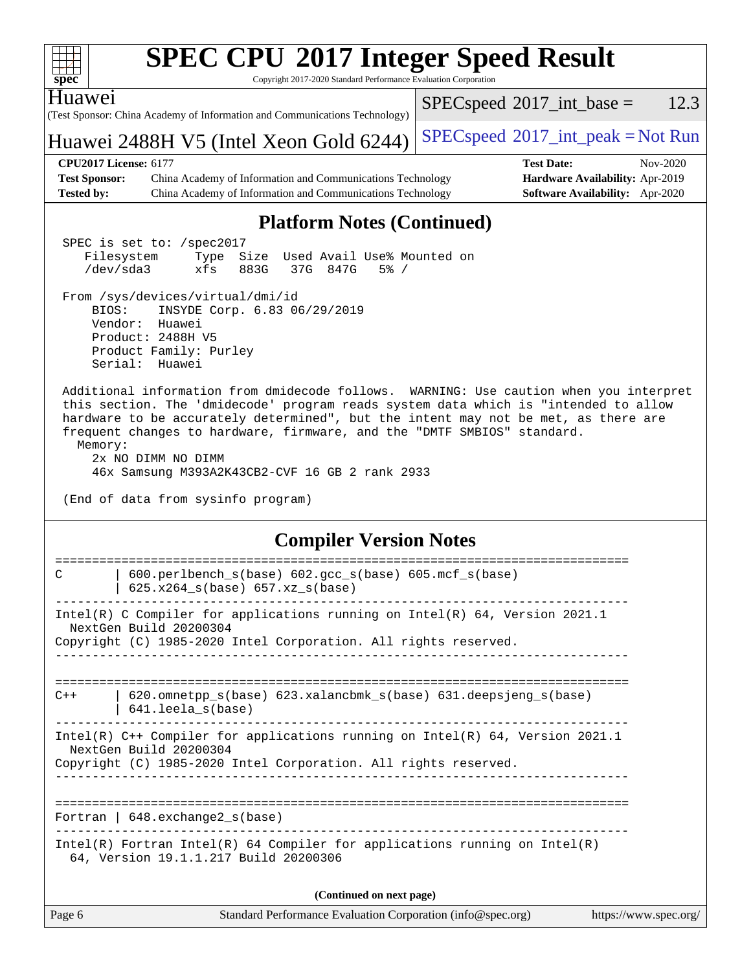| spec <sup>®</sup>                                                         | <b>SPEC CPU®2017 Integer Speed Result</b><br>Copyright 2017-2020 Standard Performance Evaluation Corporation                                                                                                                                                                                                                                                                                                           |                                               |                                                                                |
|---------------------------------------------------------------------------|------------------------------------------------------------------------------------------------------------------------------------------------------------------------------------------------------------------------------------------------------------------------------------------------------------------------------------------------------------------------------------------------------------------------|-----------------------------------------------|--------------------------------------------------------------------------------|
| Huawei                                                                    | (Test Sponsor: China Academy of Information and Communications Technology)                                                                                                                                                                                                                                                                                                                                             | $SPEC speed^{\circ}2017\_int\_base =$         | 12.3                                                                           |
|                                                                           | Huawei 2488H V5 (Intel Xeon Gold 6244)                                                                                                                                                                                                                                                                                                                                                                                 | $SPEC speed^{\circ}2017\_int\_peak = Not Run$ |                                                                                |
| <b>CPU2017 License: 6177</b><br><b>Test Sponsor:</b><br><b>Tested by:</b> | China Academy of Information and Communications Technology<br>China Academy of Information and Communications Technology                                                                                                                                                                                                                                                                                               | <b>Test Date:</b>                             | Nov-2020<br>Hardware Availability: Apr-2019<br>Software Availability: Apr-2020 |
|                                                                           | <b>Platform Notes (Continued)</b>                                                                                                                                                                                                                                                                                                                                                                                      |                                               |                                                                                |
| Filesystem<br>$/\text{dev/sda}$ 3                                         | SPEC is set to: /spec2017<br>Used Avail Use% Mounted on<br>Size<br>Type<br>xfs<br>883G<br>37G 847G<br>$5\%$ /                                                                                                                                                                                                                                                                                                          |                                               |                                                                                |
| BIOS:<br>Vendor:<br>Serial:                                               | From /sys/devices/virtual/dmi/id<br>INSYDE Corp. 6.83 06/29/2019<br>Huawei<br>Product: 2488H V5<br>Product Family: Purley<br>Huawei                                                                                                                                                                                                                                                                                    |                                               |                                                                                |
| Memory:                                                                   | Additional information from dmidecode follows. WARNING: Use caution when you interpret<br>this section. The 'dmidecode' program reads system data which is "intended to allow<br>hardware to be accurately determined", but the intent may not be met, as there are<br>frequent changes to hardware, firmware, and the "DMTF SMBIOS" standard.<br>2x NO DIMM NO DIMM<br>46x Samsung M393A2K43CB2-CVF 16 GB 2 rank 2933 |                                               |                                                                                |
|                                                                           | (End of data from sysinfo program)                                                                                                                                                                                                                                                                                                                                                                                     |                                               |                                                                                |
|                                                                           | <b>Compiler Version Notes</b>                                                                                                                                                                                                                                                                                                                                                                                          |                                               |                                                                                |
| C                                                                         | 600.perlbench_s(base) 602.gcc_s(base) 605.mcf_s(base)<br>$625.x264_s(base) 657.xz_s(base)$                                                                                                                                                                                                                                                                                                                             |                                               |                                                                                |
|                                                                           | Intel(R) C Compiler for applications running on $Intel(R) 64$ , Version 2021.1<br>NextGen Build 20200304<br>Copyright (C) 1985-2020 Intel Corporation. All rights reserved.                                                                                                                                                                                                                                            |                                               |                                                                                |
|                                                                           |                                                                                                                                                                                                                                                                                                                                                                                                                        |                                               |                                                                                |
| $C++$                                                                     | 620.omnetpp_s(base) 623.xalancbmk_s(base) 631.deepsjeng_s(base)<br>641.leela_s(base)                                                                                                                                                                                                                                                                                                                                   |                                               |                                                                                |
|                                                                           | Intel(R) C++ Compiler for applications running on Intel(R) $64$ , Version 2021.1<br>NextGen Build 20200304<br>Copyright (C) 1985-2020 Intel Corporation. All rights reserved.                                                                                                                                                                                                                                          |                                               |                                                                                |
|                                                                           | Fortran $  648$ . exchange $2_s$ (base)                                                                                                                                                                                                                                                                                                                                                                                |                                               |                                                                                |
|                                                                           | Intel(R) Fortran Intel(R) 64 Compiler for applications running on Intel(R)<br>64, Version 19.1.1.217 Build 20200306                                                                                                                                                                                                                                                                                                    |                                               |                                                                                |
|                                                                           | (Continued on next page)                                                                                                                                                                                                                                                                                                                                                                                               |                                               |                                                                                |
| Page 6                                                                    | Standard Performance Evaluation Corporation (info@spec.org)                                                                                                                                                                                                                                                                                                                                                            |                                               | https://www.spec.org/                                                          |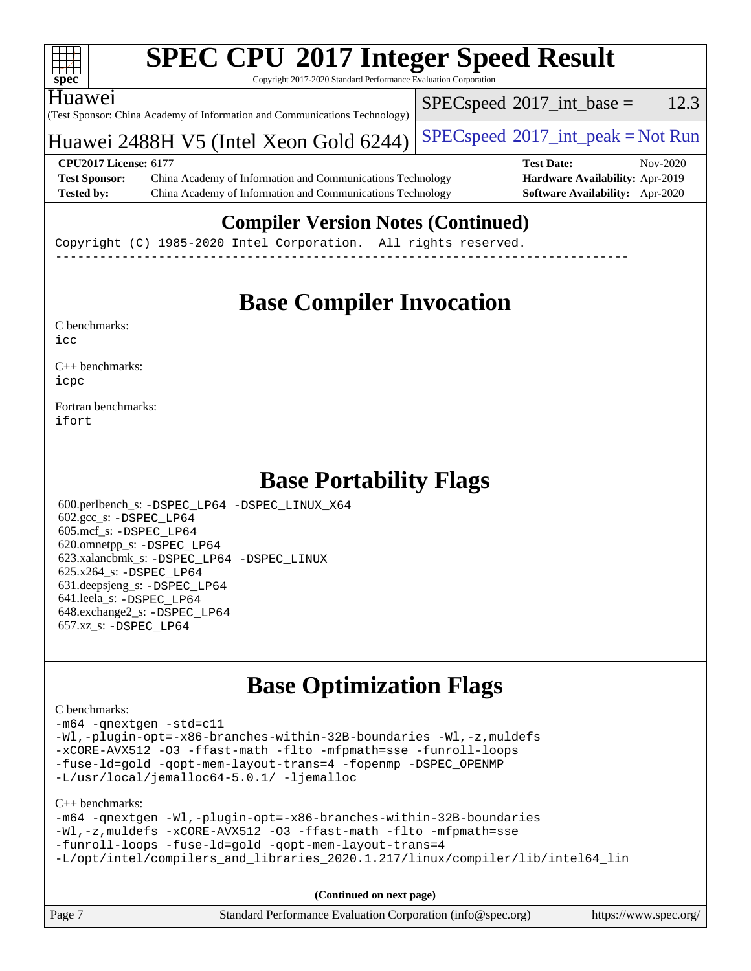![](_page_6_Picture_0.jpeg)

Copyright 2017-2020 Standard Performance Evaluation Corporation

(Test Sponsor: China Academy of Information and Communications Technology) Huawei

 $SPECspeed^{\circ}2017\_int\_base = 12.3$  $SPECspeed^{\circ}2017\_int\_base = 12.3$ 

#### Huawei 2488H V5 (Intel Xeon Gold  $6244$ )  $SPEC speed^{\circ}2017\_int\_peak = Not Run$

#### **[CPU2017 License:](http://www.spec.org/auto/cpu2017/Docs/result-fields.html#CPU2017License)** 6177 **[Test Date:](http://www.spec.org/auto/cpu2017/Docs/result-fields.html#TestDate)** Nov-2020 **[Test Sponsor:](http://www.spec.org/auto/cpu2017/Docs/result-fields.html#TestSponsor)** China Academy of Information and Communications Technology **[Hardware Availability:](http://www.spec.org/auto/cpu2017/Docs/result-fields.html#HardwareAvailability)** Apr-2019

**[Tested by:](http://www.spec.org/auto/cpu2017/Docs/result-fields.html#Testedby)** China Academy of Information and Communications Technology **[Software Availability:](http://www.spec.org/auto/cpu2017/Docs/result-fields.html#SoftwareAvailability)** Apr-2020

### **[Compiler Version Notes \(Continued\)](http://www.spec.org/auto/cpu2017/Docs/result-fields.html#CompilerVersionNotes)**

Copyright (C) 1985-2020 Intel Corporation. All rights reserved. ------------------------------------------------------------------------------

### **[Base Compiler Invocation](http://www.spec.org/auto/cpu2017/Docs/result-fields.html#BaseCompilerInvocation)**

[C benchmarks](http://www.spec.org/auto/cpu2017/Docs/result-fields.html#Cbenchmarks):  $i$ cc

[C++ benchmarks:](http://www.spec.org/auto/cpu2017/Docs/result-fields.html#CXXbenchmarks) [icpc](http://www.spec.org/cpu2017/results/res2020q4/cpu2017-20201110-24381.flags.html#user_CXXbase_intel_icpc_c510b6838c7f56d33e37e94d029a35b4a7bccf4766a728ee175e80a419847e808290a9b78be685c44ab727ea267ec2f070ec5dc83b407c0218cded6866a35d07)

[Fortran benchmarks](http://www.spec.org/auto/cpu2017/Docs/result-fields.html#Fortranbenchmarks): [ifort](http://www.spec.org/cpu2017/results/res2020q4/cpu2017-20201110-24381.flags.html#user_FCbase_intel_ifort_8111460550e3ca792625aed983ce982f94888b8b503583aa7ba2b8303487b4d8a21a13e7191a45c5fd58ff318f48f9492884d4413fa793fd88dd292cad7027ca)

### **[Base Portability Flags](http://www.spec.org/auto/cpu2017/Docs/result-fields.html#BasePortabilityFlags)**

 600.perlbench\_s: [-DSPEC\\_LP64](http://www.spec.org/cpu2017/results/res2020q4/cpu2017-20201110-24381.flags.html#b600.perlbench_s_basePORTABILITY_DSPEC_LP64) [-DSPEC\\_LINUX\\_X64](http://www.spec.org/cpu2017/results/res2020q4/cpu2017-20201110-24381.flags.html#b600.perlbench_s_baseCPORTABILITY_DSPEC_LINUX_X64) 602.gcc\_s: [-DSPEC\\_LP64](http://www.spec.org/cpu2017/results/res2020q4/cpu2017-20201110-24381.flags.html#suite_basePORTABILITY602_gcc_s_DSPEC_LP64) 605.mcf\_s: [-DSPEC\\_LP64](http://www.spec.org/cpu2017/results/res2020q4/cpu2017-20201110-24381.flags.html#suite_basePORTABILITY605_mcf_s_DSPEC_LP64) 620.omnetpp\_s: [-DSPEC\\_LP64](http://www.spec.org/cpu2017/results/res2020q4/cpu2017-20201110-24381.flags.html#suite_basePORTABILITY620_omnetpp_s_DSPEC_LP64) 623.xalancbmk\_s: [-DSPEC\\_LP64](http://www.spec.org/cpu2017/results/res2020q4/cpu2017-20201110-24381.flags.html#suite_basePORTABILITY623_xalancbmk_s_DSPEC_LP64) [-DSPEC\\_LINUX](http://www.spec.org/cpu2017/results/res2020q4/cpu2017-20201110-24381.flags.html#b623.xalancbmk_s_baseCXXPORTABILITY_DSPEC_LINUX) 625.x264\_s: [-DSPEC\\_LP64](http://www.spec.org/cpu2017/results/res2020q4/cpu2017-20201110-24381.flags.html#suite_basePORTABILITY625_x264_s_DSPEC_LP64) 631.deepsjeng\_s: [-DSPEC\\_LP64](http://www.spec.org/cpu2017/results/res2020q4/cpu2017-20201110-24381.flags.html#suite_basePORTABILITY631_deepsjeng_s_DSPEC_LP64) 641.leela\_s: [-DSPEC\\_LP64](http://www.spec.org/cpu2017/results/res2020q4/cpu2017-20201110-24381.flags.html#suite_basePORTABILITY641_leela_s_DSPEC_LP64) 648.exchange2\_s: [-DSPEC\\_LP64](http://www.spec.org/cpu2017/results/res2020q4/cpu2017-20201110-24381.flags.html#suite_basePORTABILITY648_exchange2_s_DSPEC_LP64) 657.xz\_s: [-DSPEC\\_LP64](http://www.spec.org/cpu2017/results/res2020q4/cpu2017-20201110-24381.flags.html#suite_basePORTABILITY657_xz_s_DSPEC_LP64)

### **[Base Optimization Flags](http://www.spec.org/auto/cpu2017/Docs/result-fields.html#BaseOptimizationFlags)**

#### [C benchmarks](http://www.spec.org/auto/cpu2017/Docs/result-fields.html#Cbenchmarks):

[-m64](http://www.spec.org/cpu2017/results/res2020q4/cpu2017-20201110-24381.flags.html#user_CCbase_m64-icc) [-qnextgen](http://www.spec.org/cpu2017/results/res2020q4/cpu2017-20201110-24381.flags.html#user_CCbase_f-qnextgen) [-std=c11](http://www.spec.org/cpu2017/results/res2020q4/cpu2017-20201110-24381.flags.html#user_CCbase_std-icc-std_0e1c27790398a4642dfca32ffe6c27b5796f9c2d2676156f2e42c9c44eaad0c049b1cdb667a270c34d979996257aeb8fc440bfb01818dbc9357bd9d174cb8524) [-Wl,-plugin-opt=-x86-branches-within-32B-boundaries](http://www.spec.org/cpu2017/results/res2020q4/cpu2017-20201110-24381.flags.html#user_CCbase_f-x86-branches-within-32B-boundaries_0098b4e4317ae60947b7b728078a624952a08ac37a3c797dfb4ffeb399e0c61a9dd0f2f44ce917e9361fb9076ccb15e7824594512dd315205382d84209e912f3) [-Wl,-z,muldefs](http://www.spec.org/cpu2017/results/res2020q4/cpu2017-20201110-24381.flags.html#user_CCbase_link_force_multiple1_b4cbdb97b34bdee9ceefcfe54f4c8ea74255f0b02a4b23e853cdb0e18eb4525ac79b5a88067c842dd0ee6996c24547a27a4b99331201badda8798ef8a743f577) [-xCORE-AVX512](http://www.spec.org/cpu2017/results/res2020q4/cpu2017-20201110-24381.flags.html#user_CCbase_f-xCORE-AVX512) [-O3](http://www.spec.org/cpu2017/results/res2020q4/cpu2017-20201110-24381.flags.html#user_CCbase_f-O3) [-ffast-math](http://www.spec.org/cpu2017/results/res2020q4/cpu2017-20201110-24381.flags.html#user_CCbase_f-ffast-math) [-flto](http://www.spec.org/cpu2017/results/res2020q4/cpu2017-20201110-24381.flags.html#user_CCbase_f-flto) [-mfpmath=sse](http://www.spec.org/cpu2017/results/res2020q4/cpu2017-20201110-24381.flags.html#user_CCbase_f-mfpmath_70eb8fac26bde974f8ab713bc9086c5621c0b8d2f6c86f38af0bd7062540daf19db5f3a066d8c6684be05d84c9b6322eb3b5be6619d967835195b93d6c02afa1) [-funroll-loops](http://www.spec.org/cpu2017/results/res2020q4/cpu2017-20201110-24381.flags.html#user_CCbase_f-funroll-loops) [-fuse-ld=gold](http://www.spec.org/cpu2017/results/res2020q4/cpu2017-20201110-24381.flags.html#user_CCbase_f-fuse-ld_920b3586e2b8c6e0748b9c84fa9b744736ba725a32cab14ad8f3d4ad28eecb2f59d1144823d2e17006539a88734fe1fc08fc3035f7676166309105a78aaabc32) [-qopt-mem-layout-trans=4](http://www.spec.org/cpu2017/results/res2020q4/cpu2017-20201110-24381.flags.html#user_CCbase_f-qopt-mem-layout-trans_fa39e755916c150a61361b7846f310bcdf6f04e385ef281cadf3647acec3f0ae266d1a1d22d972a7087a248fd4e6ca390a3634700869573d231a252c784941a8) [-fopenmp](http://www.spec.org/cpu2017/results/res2020q4/cpu2017-20201110-24381.flags.html#user_CCbase_fopenmp_5aa2e47ce4f2ef030ba5d12d5a7a9c4e57167333d78243fcadb80b48d5abb78ff19333f8478e0b2a41e63049eb285965c145ccab7b93db7d0c4d59e4dc6f5591) [-DSPEC\\_OPENMP](http://www.spec.org/cpu2017/results/res2020q4/cpu2017-20201110-24381.flags.html#suite_CCbase_DSPEC_OPENMP) [-L/usr/local/jemalloc64-5.0.1/](http://www.spec.org/cpu2017/results/res2020q4/cpu2017-20201110-24381.flags.html#user_CCbase_jemalloc_link_path64_1_7ef78e948e26f16679f66279b8b3f63c04c9803b9e8787420a99cca8bda14a41adf28ce5417d152fa73cc6ac5779a3e22f3d8249efa1649e07fa83494079cd98) [-ljemalloc](http://www.spec.org/cpu2017/results/res2020q4/cpu2017-20201110-24381.flags.html#user_CCbase_jemalloc_link_lib_d1249b907c500fa1c0672f44f562e3d0f79738ae9e3c4a9c376d49f265a04b9c99b167ecedbf6711b3085be911c67ff61f150a17b3472be731631ba4d0471706)

#### [C++ benchmarks:](http://www.spec.org/auto/cpu2017/Docs/result-fields.html#CXXbenchmarks)

```
-m64 -qnextgen -Wl,-plugin-opt=-x86-branches-within-32B-boundaries
-Wl,-z,muldefs -xCORE-AVX512 -O3 -ffast-math -flto -mfpmath=sse
-funroll-loops -fuse-ld=gold -qopt-mem-layout-trans=4
-L/opt/intel/compilers_and_libraries_2020.1.217/linux/compiler/lib/intel64_lin
```
**(Continued on next page)**

| Page 7 | Standard Performance Evaluation Corporation (info@spec.org) | https://www.spec.org/ |
|--------|-------------------------------------------------------------|-----------------------|
|        |                                                             |                       |